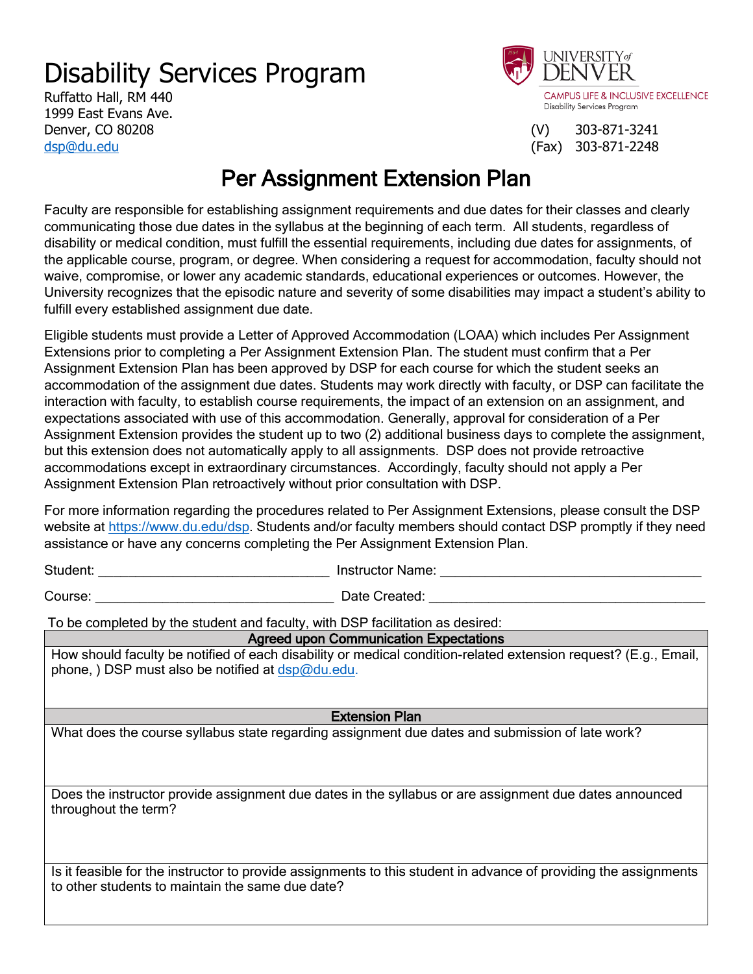## Disability Services Program

Ruffatto Hall, RM 440 1999 East Evans Ave. Denver, CO 80208 (V) 303-871-3241 [dsp@du.edu](mailto:dsp@du.edu) (Fax) 303-871-2248



## Per Assignment Extension Plan

Faculty are responsible for establishing assignment requirements and due dates for their classes and clearly communicating those due dates in the syllabus at the beginning of each term. All students, regardless of disability or medical condition, must fulfill the essential requirements, including due dates for assignments, of the applicable course, program, or degree. When considering a request for accommodation, faculty should not waive, compromise, or lower any academic standards, educational experiences or outcomes. However, the University recognizes that the episodic nature and severity of some disabilities may impact a student's ability to fulfill every established assignment due date.

Eligible students must provide a Letter of Approved Accommodation (LOAA) which includes Per Assignment Extensions prior to completing a Per Assignment Extension Plan. The student must confirm that a Per Assignment Extension Plan has been approved by DSP for each course for which the student seeks an accommodation of the assignment due dates. Students may work directly with faculty, or DSP can facilitate the interaction with faculty, to establish course requirements, the impact of an extension on an assignment, and expectations associated with use of this accommodation. Generally, approval for consideration of a Per Assignment Extension provides the student up to two (2) additional business days to complete the assignment, but this extension does not automatically apply to all assignments. DSP does not provide retroactive accommodations except in extraordinary circumstances. Accordingly, faculty should not apply a Per Assignment Extension Plan retroactively without prior consultation with DSP.

For more information regarding the procedures related to Per Assignment Extensions, please consult the DSP website at [https://www.du.edu/dsp.](https://www.du.edu/dsp) Students and/or faculty members should contact DSP promptly if they need assistance or have any concerns completing the Per Assignment Extension Plan.

Student: \_\_\_\_\_\_\_\_\_\_\_\_\_\_\_\_\_\_\_\_\_\_\_\_\_\_\_\_\_\_\_ Instructor Name: \_\_\_\_\_\_\_\_\_\_\_\_\_\_\_\_\_\_\_\_\_\_\_\_\_\_\_\_\_\_\_\_\_\_\_

Course: \_\_\_\_\_\_\_\_\_\_\_\_\_\_\_\_\_\_\_\_\_\_\_\_\_\_\_\_\_\_\_\_ Date Created: \_\_\_\_\_\_\_\_\_\_\_\_\_\_\_\_\_\_\_\_\_\_\_\_\_\_\_\_\_\_\_\_\_\_\_\_\_

To be completed by the student and faculty, with DSP facilitation as desired:

Agreed upon Communication Expectations

How should faculty be notified of each disability or medical condition-related extension request? (E.g., Email, phone, ) DSP must also be notified at [dsp@du.edu.](mailto:dsp@du.edu)

Extension Plan

What does the course syllabus state regarding assignment due dates and submission of late work?

Does the instructor provide assignment due dates in the syllabus or are assignment due dates announced throughout the term?

Is it feasible for the instructor to provide assignments to this student in advance of providing the assignments to other students to maintain the same due date?